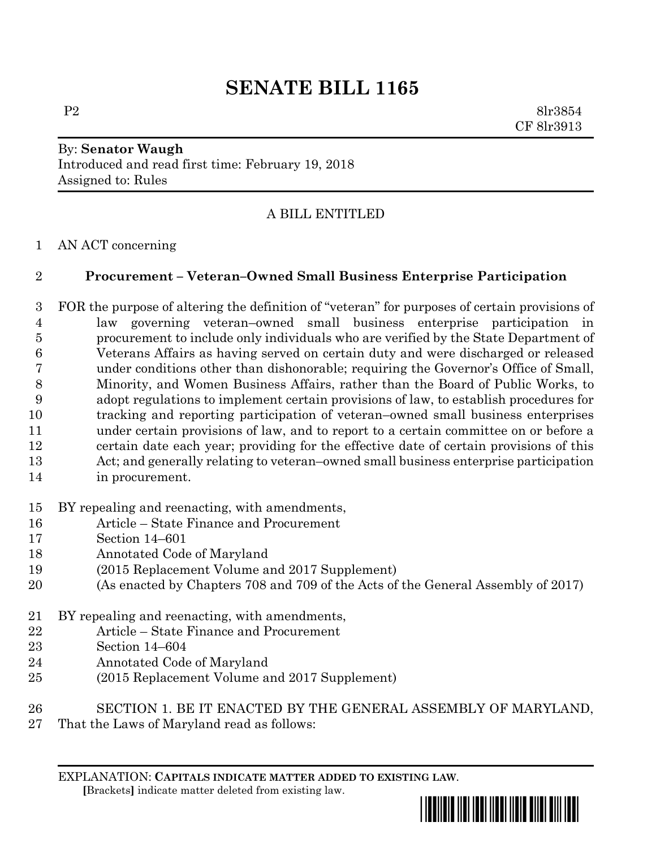# **SENATE BILL 1165**

P2 8lr3854 CF 8lr3913

## By: **Senator Waugh** Introduced and read first time: February 19, 2018 Assigned to: Rules

# A BILL ENTITLED

#### AN ACT concerning

### **Procurement – Veteran–Owned Small Business Enterprise Participation**

 FOR the purpose of altering the definition of "veteran" for purposes of certain provisions of law governing veteran–owned small business enterprise participation in procurement to include only individuals who are verified by the State Department of Veterans Affairs as having served on certain duty and were discharged or released under conditions other than dishonorable; requiring the Governor's Office of Small, Minority, and Women Business Affairs, rather than the Board of Public Works, to adopt regulations to implement certain provisions of law, to establish procedures for tracking and reporting participation of veteran–owned small business enterprises under certain provisions of law, and to report to a certain committee on or before a certain date each year; providing for the effective date of certain provisions of this Act; and generally relating to veteran–owned small business enterprise participation in procurement.

#### BY repealing and reenacting, with amendments,

- Article State Finance and Procurement
- Section 14–601
- Annotated Code of Maryland
- (2015 Replacement Volume and 2017 Supplement)
- (As enacted by Chapters 708 and 709 of the Acts of the General Assembly of 2017)
- BY repealing and reenacting, with amendments,
- Article State Finance and Procurement
- Section 14–604
- Annotated Code of Maryland
- (2015 Replacement Volume and 2017 Supplement)
- SECTION 1. BE IT ENACTED BY THE GENERAL ASSEMBLY OF MARYLAND,
- That the Laws of Maryland read as follows:

EXPLANATION: **CAPITALS INDICATE MATTER ADDED TO EXISTING LAW**.  **[**Brackets**]** indicate matter deleted from existing law.

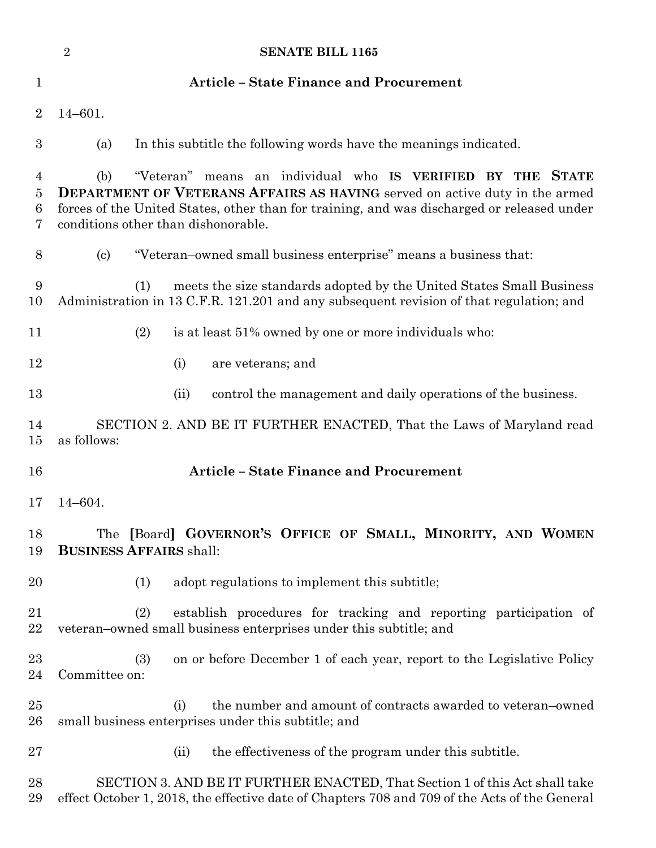|                  | $\sqrt{2}$<br><b>SENATE BILL 1165</b>                                                                                                                                                                                                                                                           |  |
|------------------|-------------------------------------------------------------------------------------------------------------------------------------------------------------------------------------------------------------------------------------------------------------------------------------------------|--|
| $\mathbf{1}$     | <b>Article - State Finance and Procurement</b>                                                                                                                                                                                                                                                  |  |
| $\overline{2}$   | $14 - 601.$                                                                                                                                                                                                                                                                                     |  |
| $\boldsymbol{3}$ | In this subtitle the following words have the meanings indicated.<br>(a)                                                                                                                                                                                                                        |  |
| 4<br>5<br>6<br>7 | "Veteran" means an individual who IS VERIFIED BY<br>(b)<br>THE STATE<br><b>DEPARTMENT OF VETERANS AFFAIRS AS HAVING</b> served on active duty in the armed<br>forces of the United States, other than for training, and was discharged or released under<br>conditions other than dishonorable. |  |
| 8                | "Veteran-owned small business enterprise" means a business that:<br>$\left( \mathrm{c}\right)$                                                                                                                                                                                                  |  |
| 9<br>10          | meets the size standards adopted by the United States Small Business<br>(1)<br>Administration in 13 C.F.R. 121.201 and any subsequent revision of that regulation; and                                                                                                                          |  |
| 11               | (2)<br>is at least 51% owned by one or more individuals who:                                                                                                                                                                                                                                    |  |
| 12               | (i)<br>are veterans; and                                                                                                                                                                                                                                                                        |  |
| 13               | control the management and daily operations of the business.<br>(ii)                                                                                                                                                                                                                            |  |
| 14<br>15         | SECTION 2. AND BE IT FURTHER ENACTED, That the Laws of Maryland read<br>as follows:                                                                                                                                                                                                             |  |
| 16               | <b>Article - State Finance and Procurement</b>                                                                                                                                                                                                                                                  |  |
| 17               | $14 - 604.$                                                                                                                                                                                                                                                                                     |  |
| 18<br>19         | The [Board] GOVERNOR'S OFFICE OF SMALL, MINORITY, AND WOMEN<br><b>BUSINESS AFFAIRS shall:</b>                                                                                                                                                                                                   |  |
| 20               | adopt regulations to implement this subtitle;<br>(1)                                                                                                                                                                                                                                            |  |
| 21<br>$22\,$     | establish procedures for tracking and reporting participation of<br>(2)<br>veteran-owned small business enterprises under this subtitle; and                                                                                                                                                    |  |
| 23<br>24         | on or before December 1 of each year, report to the Legislative Policy<br>(3)<br>Committee on:                                                                                                                                                                                                  |  |
| $25\,$<br>26     | the number and amount of contracts awarded to veteran-owned<br>(i)<br>small business enterprises under this subtitle; and                                                                                                                                                                       |  |
| $27\,$           | the effectiveness of the program under this subtitle.<br>(ii)                                                                                                                                                                                                                                   |  |
| 28<br>29         | SECTION 3. AND BE IT FURTHER ENACTED, That Section 1 of this Act shall take<br>effect October 1, 2018, the effective date of Chapters 708 and 709 of the Acts of the General                                                                                                                    |  |